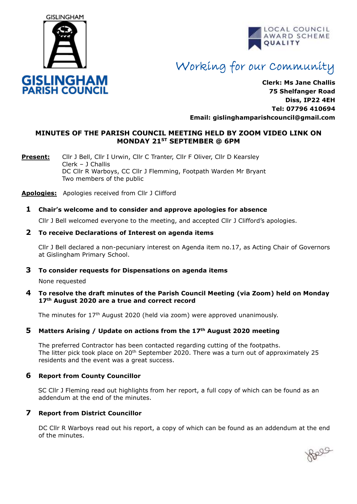



# Working for our Community

**Clerk: Ms Jane Challis 75 Shelfanger Road Diss, IP22 4EH Tel: 07796 410694 Email: [gislinghamparishcouncil@gmail.com](mailto:gislinghamparishcouncil@gmail.com)**

#### **MINUTES OF THE PARISH COUNCIL MEETING HELD BY ZOOM VIDEO LINK ON MONDAY 21ST SEPTEMBER @ 6PM**

**Present:** Cllr J Bell, Cllr I Urwin, Cllr C Tranter, Cllr F Oliver, Cllr D Kearsley Clerk – J Challis DC Cllr R Warboys, CC Cllr J Flemming, Footpath Warden Mr Bryant Two members of the public

**Apologies:** Apologies received from Cllr J Clifford

#### **1 Chair's welcome and to consider and approve apologies for absence**

Cllr J Bell welcomed everyone to the meeting, and accepted Cllr J Clifford's apologies.

#### **2 To receive Declarations of Interest on agenda items**

 Cllr J Bell declared a non-pecuniary interest on Agenda item no.17, as Acting Chair of Governors at Gislingham Primary School.

#### **3 To consider requests for Dispensations on agenda items**

None requested

#### **4 To resolve the draft minutes of the Parish Council Meeting (via Zoom) held on Monday 17th August 2020 are a true and correct record**

The minutes for  $17<sup>th</sup>$  August 2020 (held via zoom) were approved unanimously.

#### **5 Matters Arising / Update on actions from the 17th August 2020 meeting**

The preferred Contractor has been contacted regarding cutting of the footpaths. The litter pick took place on 20<sup>th</sup> September 2020. There was a turn out of approximately 25 residents and the event was a great success.

#### **6 Report from County Councillor**

SC Cllr J Fleming read out highlights from her report, a full copy of which can be found as an addendum at the end of the minutes.

#### **7 Report from District Councillor**

DC Cllr R Warboys read out his report, a copy of which can be found as an addendum at the end of the minutes.

Bell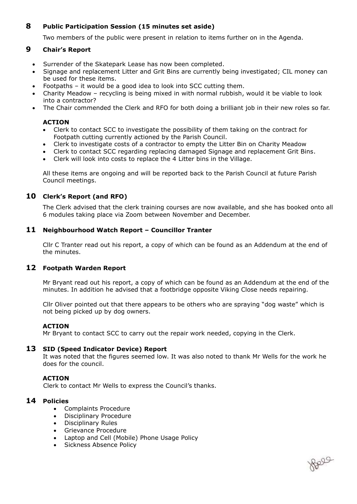#### **8 Public Participation Session (15 minutes set aside)**

Two members of the public were present in relation to items further on in the Agenda.

#### **9 Chair's Report**

- Surrender of the Skatepark Lease has now been completed.
- Signage and replacement Litter and Grit Bins are currently being investigated; CIL money can be used for these items.
- Footpaths it would be a good idea to look into SCC cutting them.
- Charity Meadow recycling is being mixed in with normal rubbish, would it be viable to look into a contractor?
- The Chair commended the Clerk and RFO for both doing a brilliant job in their new roles so far.

#### **ACTION**

- Clerk to contact SCC to investigate the possibility of them taking on the contract for Footpath cutting currently actioned by the Parish Council.
- Clerk to investigate costs of a contractor to empty the Litter Bin on Charity Meadow
- Clerk to contact SCC regarding replacing damaged Signage and replacement Grit Bins.
- Clerk will look into costs to replace the 4 Litter bins in the Village.

All these items are ongoing and will be reported back to the Parish Council at future Parish Council meetings.

#### **10 Clerk's Report (and RFO)**

 The Clerk advised that the clerk training courses are now available, and she has booked onto all 6 modules taking place via Zoom between November and December.

#### **11 Neighbourhood Watch Report – Councillor Tranter**

Cllr C Tranter read out his report, a copy of which can be found as an Addendum at the end of the minutes.

#### **12 Footpath Warden Report**

Mr Bryant read out his report, a copy of which can be found as an Addendum at the end of the minutes. In addition he advised that a footbridge opposite Viking Close needs repairing.

Cllr Oliver pointed out that there appears to be others who are spraying "dog waste" which is not being picked up by dog owners.

#### **ACTION**

Mr Bryant to contact SCC to carry out the repair work needed, copying in the Clerk.

#### **13 SID (Speed Indicator Device) Report**

It was noted that the figures seemed low. It was also noted to thank Mr Wells for the work he does for the council.

Reag

#### **ACTION**

Clerk to contact Mr Wells to express the Council's thanks.

#### **14 Policies**

- Complaints Procedure
- Disciplinary Procedure
- Disciplinary Rules
- Grievance Procedure
- Laptop and Cell (Mobile) Phone Usage Policy
- Sickness Absence Policy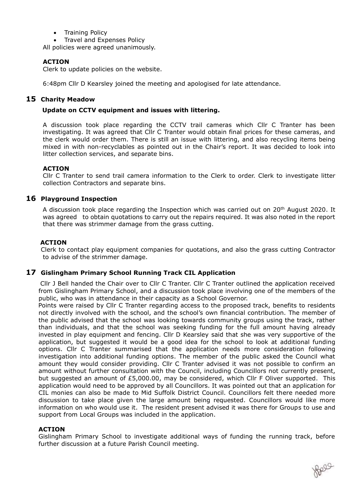• Training Policy

• Travel and Expenses Policy

All policies were agreed unanimously.

#### **ACTION**

Clerk to update policies on the website.

6:48pm Cllr D Kearsley joined the meeting and apologised for late attendance.

#### **15 Charity Meadow**

#### **Update on CCTV equipment and issues with littering.**

A discussion took place regarding the CCTV trail cameras which Cllr C Tranter has been investigating. It was agreed that Cllr C Tranter would obtain final prices for these cameras, and the clerk would order them. There is still an issue with littering, and also recycling items being mixed in with non-recyclables as pointed out in the Chair's report. It was decided to look into litter collection services, and separate bins.

#### **ACTION**

Cllr C Tranter to send trail camera information to the Clerk to order. Clerk to investigate litter collection Contractors and separate bins.

#### **16 Playground Inspection**

A discussion took place regarding the Inspection which was carried out on 20th August 2020. It was agreed to obtain quotations to carry out the repairs required. It was also noted in the report that there was strimmer damage from the grass cutting.

#### **ACTION**

Clerk to contact play equipment companies for quotations, and also the grass cutting Contractor to advise of the strimmer damage.

#### **17 Gislingham Primary School Running Track CIL Application**

Cllr J Bell handed the Chair over to Cllr C Tranter. Cllr C Tranter outlined the application received from Gislingham Primary School, and a discussion took place involving one of the members of the public, who was in attendance in their capacity as a School Governor.

 Points were raised by Cllr C Tranter regarding access to the proposed track, benefits to residents not directly involved with the school, and the school's own financial contribution. The member of the public advised that the school was looking towards community groups using the track, rather than individuals, and that the school was seeking funding for the full amount having already invested in play equipment and fencing. Cllr D Kearsley said that she was very supportive of the application, but suggested it would be a good idea for the school to look at additional funding options. Cllr C Tranter summarised that the application needs more consideration following investigation into additional funding options. The member of the public asked the Council what amount they would consider providing. Cllr C Tranter advised it was not possible to confirm an amount without further consultation with the Council, including Councillors not currently present, but suggested an amount of £5,000.00, may be considered, which Cllr F Oliver supported. This application would need to be approved by all Councillors. It was pointed out that an application for CIL monies can also be made to Mid Suffolk District Council. Councillors felt there needed more discussion to take place given the large amount being requested. Councillors would like more information on who would use it. The resident present advised it was there for Groups to use and support from Local Groups was included in the application.

#### **ACTION**

Gislingham Primary School to investigate additional ways of funding the running track, before further discussion at a future Parish Council meeting.

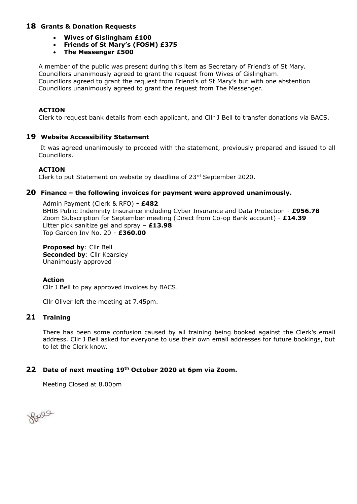#### **18 Grants & Donation Requests**

- **Wives of Gislingham £100**
- **Friends of St Mary's (FOSM) £375**
- **The Messenger £500**

A member of the public was present during this item as Secretary of Friend's of St Mary. Councillors unanimously agreed to grant the request from Wives of Gislingham. Councillors agreed to grant the request from Friend's of St Mary's but with one abstention Councillors unanimously agreed to grant the request from The Messenger.

#### **ACTION**

Clerk to request bank details from each applicant, and Cllr J Bell to transfer donations via BACS.

#### **19 Website Accessibility Statement**

 It was agreed unanimously to proceed with the statement, previously prepared and issued to all Councillors.

#### **ACTION**

Clerk to put Statement on website by deadline of 23rd September 2020.

#### **20 Finance – the following invoices for payment were approved unanimously.**

Admin Payment (Clerk & RFO) **- £482** BHIB Public Indemnity Insurance including Cyber Insurance and Data Protection - **£956.78** Zoom Subscription for September meeting (Direct from Co-op Bank account) - **£14.39** Litter pick sanitize gel and spray – **£13.98** Top Garden Inv No. 20 - **£360.00**

**Proposed by**: Cllr Bell **Seconded by: Cllr Kearsley** Unanimously approved

#### **Action**

Cllr J Bell to pay approved invoices by BACS.

Cllr Oliver left the meeting at 7.45pm.

#### **21 Training**

There has been some confusion caused by all training being booked against the Clerk's email address. Cllr J Bell asked for everyone to use their own email addresses for future bookings, but to let the Clerk know.

#### **22 Date of next meeting 19th October 2020 at 6pm via Zoom.**

Meeting Closed at 8.00pm

Bell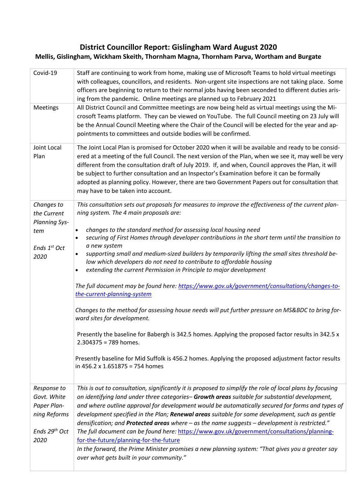# **District Councillor Report: Gislingham Ward August 2020**

# **Mellis, Gislingham, Wickham Skeith, Thornham Magna, Thornham Parva, Wortham and Burgate**

| Covid-19                                                                                       | Staff are continuing to work from home, making use of Microsoft Teams to hold virtual meetings<br>with colleagues, councillors, and residents. Non-urgent site inspections are not taking place. Some<br>officers are beginning to return to their normal jobs having been seconded to different duties aris-<br>ing from the pandemic. Online meetings are planned up to February 2021                                                                                                                                                                                                                                                                                                                                                                                                                                                                                                                                                                                                                                                                                                                                                                       |
|------------------------------------------------------------------------------------------------|---------------------------------------------------------------------------------------------------------------------------------------------------------------------------------------------------------------------------------------------------------------------------------------------------------------------------------------------------------------------------------------------------------------------------------------------------------------------------------------------------------------------------------------------------------------------------------------------------------------------------------------------------------------------------------------------------------------------------------------------------------------------------------------------------------------------------------------------------------------------------------------------------------------------------------------------------------------------------------------------------------------------------------------------------------------------------------------------------------------------------------------------------------------|
| Meetings                                                                                       | All District Council and Committee meetings are now being held as virtual meetings using the Mi-<br>crosoft Teams platform. They can be viewed on YouTube. The full Council meeting on 23 July will<br>be the Annual Council Meeting where the Chair of the Council will be elected for the year and ap-<br>pointments to committees and outside bodies will be confirmed.                                                                                                                                                                                                                                                                                                                                                                                                                                                                                                                                                                                                                                                                                                                                                                                    |
| Joint Local<br>Plan                                                                            | The Joint Local Plan is promised for October 2020 when it will be available and ready to be consid-<br>ered at a meeting of the full Council. The next version of the Plan, when we see it, may well be very<br>different from the consultation draft of July 2019. If, and when, Council approves the Plan, it will<br>be subject to further consultation and an Inspector's Examination before it can be formally<br>adopted as planning policy. However, there are two Government Papers out for consultation that<br>may have to be taken into account.                                                                                                                                                                                                                                                                                                                                                                                                                                                                                                                                                                                                   |
| Changes to<br>the Current<br><b>Planning Sys-</b><br>tem<br>Ends 1st Oct<br>2020               | This consultation sets out proposals for measures to improve the effectiveness of the current plan-<br>ning system. The 4 main proposals are:<br>changes to the standard method for assessing local housing need<br>$\bullet$<br>securing of First Homes through developer contributions in the short term until the transition to<br>a new system<br>supporting small and medium-sized builders by temporarily lifting the small sites threshold be-<br>low which developers do not need to contribute to affordable housing<br>extending the current Permission in Principle to major development<br>$\bullet$<br>The full document may be found here: https://www.gov.uk/government/consultations/changes-to-<br>the-current-planning-system<br>Changes to the method for assessing house needs will put further pressure on MS&BDC to bring for-<br>ward sites for development.<br>Presently the baseline for Babergh is 342.5 homes. Applying the proposed factor results in 342.5 x<br>$2.304375 = 789$ homes.<br>Presently baseline for Mid Suffolk is 456.2 homes. Applying the proposed adjustment factor results<br>in 456.2 x 1.651875 = 754 homes |
| Response to<br>Govt. White<br>Paper Plan-<br>ning Reforms<br>Ends 29 <sup>th</sup> Oct<br>2020 | This is out to consultation, significantly it is proposed to simplify the role of local plans by focusing<br>on identifying land under three categories-Growth areas suitable for substantial development,<br>and where outline approval for development would be automatically secured for forms and types of<br>development specified in the Plan; Renewal areas suitable for some development, such as gentle<br>densification; and Protected areas where - as the name suggests - development is restricted."<br>The full document can be found here: https://www.gov.uk/government/consultations/planning-<br>for-the-future/planning-for-the-future<br>In the forward, the Prime Minister promises a new planning system: "That gives you a greater say<br>over what gets built in your community."                                                                                                                                                                                                                                                                                                                                                     |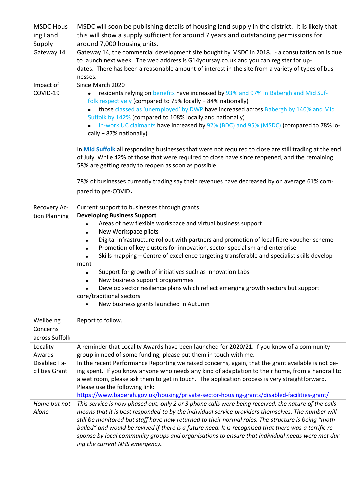| <b>MSDC Hous-</b>                       | MSDC will soon be publishing details of housing land supply in the district. It is likely that                                                                                                                                                                                                                                                                                                                                                                                                                                                                                                                                                                                                                                                                                                                                                       |  |  |  |  |  |  |
|-----------------------------------------|------------------------------------------------------------------------------------------------------------------------------------------------------------------------------------------------------------------------------------------------------------------------------------------------------------------------------------------------------------------------------------------------------------------------------------------------------------------------------------------------------------------------------------------------------------------------------------------------------------------------------------------------------------------------------------------------------------------------------------------------------------------------------------------------------------------------------------------------------|--|--|--|--|--|--|
| ing Land                                | this will show a supply sufficient for around 7 years and outstanding permissions for                                                                                                                                                                                                                                                                                                                                                                                                                                                                                                                                                                                                                                                                                                                                                                |  |  |  |  |  |  |
| Supply                                  | around 7,000 housing units.                                                                                                                                                                                                                                                                                                                                                                                                                                                                                                                                                                                                                                                                                                                                                                                                                          |  |  |  |  |  |  |
| Gateway 14                              | Gateway 14, the commercial development site bought by MSDC in 2018. - a consultation on is due<br>to launch next week. The web address is G14yoursay.co.uk and you can register for up-<br>dates. There has been a reasonable amount of interest in the site from a variety of types of busi-<br>nesses.                                                                                                                                                                                                                                                                                                                                                                                                                                                                                                                                             |  |  |  |  |  |  |
| Impact of<br>COVID-19                   | Since March 2020<br>residents relying on benefits have increased by 93% and 97% in Babergh and Mid Suf-<br>folk respectively (compared to 75% locally + 84% nationally)<br>those classed as 'unemployed' by DWP have increased across Babergh by 140% and Mid<br>$\bullet$<br>Suffolk by 142% (compared to 108% locally and nationally)<br>in-work UC claimants have increased by 92% (BDC) and 95% (MSDC) (compared to 78% lo-<br>cally + 87% nationally)<br>In Mid Suffolk all responding businesses that were not required to close are still trading at the end<br>of July. While 42% of those that were required to close have since reopened, and the remaining<br>58% are getting ready to reopen as soon as possible.<br>78% of businesses currently trading say their revenues have decreased by on average 61% com-<br>pared to pre-COVID. |  |  |  |  |  |  |
| Recovery Ac-<br>tion Planning           | Current support to businesses through grants.<br><b>Developing Business Support</b><br>Areas of new flexible workspace and virtual business support<br>$\bullet$<br>New Workspace pilots<br>$\bullet$<br>Digital infrastructure rollout with partners and promotion of local fibre voucher scheme<br>$\bullet$<br>Promotion of key clusters for innovation, sector specialism and enterprise<br>Skills mapping - Centre of excellence targeting transferable and specialist skills develop-<br>ment<br>Support for growth of initiatives such as Innovation Labs<br>$\bullet$<br>New business support programmes<br>Develop sector resilience plans which reflect emerging growth sectors but support<br>core/traditional sectors<br>New business grants launched in Autumn                                                                          |  |  |  |  |  |  |
| Wellbeing<br>Concerns<br>across Suffolk | Report to follow.                                                                                                                                                                                                                                                                                                                                                                                                                                                                                                                                                                                                                                                                                                                                                                                                                                    |  |  |  |  |  |  |
| Locality                                | A reminder that Locality Awards have been launched for 2020/21. If you know of a community                                                                                                                                                                                                                                                                                                                                                                                                                                                                                                                                                                                                                                                                                                                                                           |  |  |  |  |  |  |
| Awards                                  | group in need of some funding, please put them in touch with me.                                                                                                                                                                                                                                                                                                                                                                                                                                                                                                                                                                                                                                                                                                                                                                                     |  |  |  |  |  |  |
| Disabled Fa-<br>cilities Grant          | In the recent Performance Reporting we raised concerns, again, that the grant available is not be-<br>ing spent. If you know anyone who needs any kind of adaptation to their home, from a handrail to<br>a wet room, please ask them to get in touch. The application process is very straightforward.<br>Please use the following link:<br>https://www.babergh.gov.uk/housing/private-sector-housing-grants/disabled-facilities-grant/                                                                                                                                                                                                                                                                                                                                                                                                             |  |  |  |  |  |  |
| Home but not<br>Alone                   | This service is now phased out, only 2 or 3 phone calls were being received, the nature of the calls<br>means that it is best responded to by the individual service providers themselves. The number will<br>still be monitored but staff have now returned to their normal roles. The structure is being "moth-<br>balled" and would be revived if there is a future need. It is recognised that there was a terrific re-<br>sponse by local community groups and organisations to ensure that individual needs were met dur-<br>ing the current NHS emergency.                                                                                                                                                                                                                                                                                    |  |  |  |  |  |  |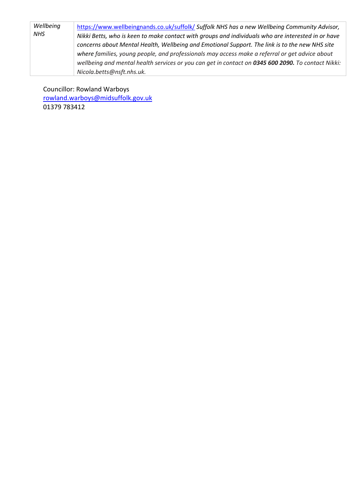| Wellbeing<br>NHS | https://www.wellbeingnands.co.uk/suffolk/ Suffolk NHS has a new Wellbeing Community Advisor,       |
|------------------|----------------------------------------------------------------------------------------------------|
|                  | Nikki Betts, who is keen to make contact with groups and individuals who are interested in or have |
|                  | concerns about Mental Health, Wellbeing and Emotional Support. The link is to the new NHS site     |
|                  | where families, young people, and professionals may access make a referral or get advice about     |
|                  | wellbeing and mental health services or you can get in contact on 0345 600 2090. To contact Nikki: |
|                  | Nicola.betts@nsft.nhs.uk.                                                                          |

Councillor: Rowland Warboys

[rowland.warboys@midsuffolk.gov.uk](mailto:rowland.warboys@midsuffolk.gov.uk) 01379 783412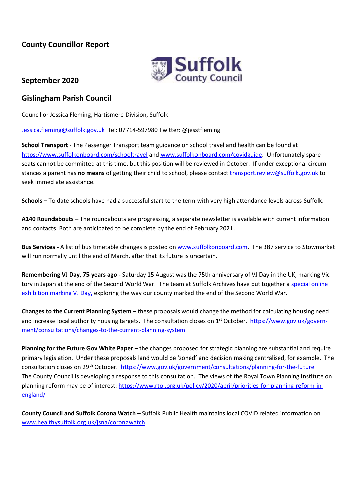# **County Councillor Report**



## **September 2020**

# **Gislingham Parish Council**

Councillor Jessica Fleming, Hartismere Division, Suffolk

[Jessica.fleming@suffolk.gov.uk](mailto:Jessica.fleming@suffolk.gov.uk) Tel: 07714-597980 Twitter: @jesstfleming

**School Transport** - The Passenger Transport team guidance on school travel and health can be found at <https://www.suffolkonboard.com/schooltravel> and [www.suffolkonboard.com/covidguide.](http://www.suffolkonboard.com/covidguide) Unfortunately spare seats cannot be committed at this time, but this position will be reviewed in October. If under exceptional circumstances a parent has **no means** of getting their child to school, please contact [transport.review@suffolk.gov.uk](mailto:transport.review@suffolk.gov.uk) to seek immediate assistance.

**Schools –** To date schools have had a successful start to the term with very high attendance levels across Suffolk.

**A140 Roundabouts –** The roundabouts are progressing, a separate newsletter is available with current information and contacts. Both are anticipated to be complete by the end of February 2021.

**Bus Services -** A list of bus timetable changes is posted on [www.suffolkonboard.com.](https://www.suffolkonboard.com/buses/bus-timetable-updates/) The 387 service to Stowmarket will run normally until the end of March, after that its future is uncertain.

**Remembering VJ Day, 75 years ago -** Saturday 15 August was the 75th anniversary of VJ Day in the UK, marking Victory in Japan at the end of the Second World War. The team at Suffolk Archives have put together a special online [exhibition marking VJ Day](https://www.suffolkarchives.co.uk/displays-online/the-road-to-vj-day/)**,** exploring the way our county marked the end of the Second World War.

**Changes to the Current Planning System** – these proposals would change the method for calculating housing need and increase local authority housing targets. The consultation closes on 1<sup>st</sup> October. [https://www.gov.uk/govern](https://www.gov.uk/government/consultations/changes-to-the-current-planning-system)[ment/consultations/changes-to-the-current-planning-system](https://www.gov.uk/government/consultations/changes-to-the-current-planning-system)

**Planning for the Future Gov White Paper** – the changes proposed for strategic planning are substantial and require primary legislation. Under these proposals land would be 'zoned' and decision making centralised, for example. The consultation closes on 29th October.<https://www.gov.uk/government/consultations/planning-for-the-future> The County Council is developing a response to this consultation. The views of the Royal Town Planning Institute on planning reform may be of interest: [https://www.rtpi.org.uk/policy/2020/april/priorities-for-planning-reform-in](https://www.rtpi.org.uk/policy/2020/april/priorities-for-planning-reform-in-england/)[england/](https://www.rtpi.org.uk/policy/2020/april/priorities-for-planning-reform-in-england/)

**County Council and Suffolk Corona Watch –** Suffolk Public Health maintains local COVID related information on [www.healthysuffolk.org.uk/jsna/coronawatch.](http://www.healthysuffolk.org.uk/jsna/coronawatch)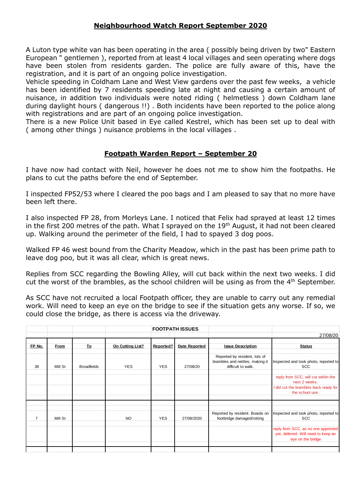### **Neighbourhood Watch Report September 2020**

A Luton type white van has been operating in the area ( possibly being driven by two" Eastern European " gentlemen ), reported from at least 4 local villages and seen operating where dogs have been stolen from residents garden. The police are fully aware of this, have the registration, and it is part of an ongoing police investigation.

Vehicle speeding in Coldham Lane and West View gardens over the past few weeks, a vehicle has been identified by 7 residents speeding late at night and causing a certain amount of nuisance, in addition two individuals were noted riding ( helmetless ) down Coldham lane during daylight hours ( dangerous !!) . Both incidents have been reported to the police along with registrations and are part of an ongoing police investigation.

There is a new Police Unit based in Eye called Kestrel, which has been set up to deal with ( among other things ) nuisance problems in the local villages .

### **Footpath Warden Report – September 20**

I have now had contact with Neil, however he does not me to show him the footpaths. He plans to cut the paths before the end of September.

I inspected FP52/53 where I cleared the poo bags and I am pleased to say that no more have been left there.

I also inspected FP 28, from Morleys Lane. I noticed that Felix had sprayed at least 12 times in the first 200 metres of the path. What I sprayed on the 19<sup>th</sup> August, it had not been cleared up. Walking around the perimeter of the field, I had to spayed 3 dog poos.

Walked FP 46 west bound from the Charity Meadow, which in the past has been prime path to leave dog poo, but it was all clear, which is great news.

Replies from SCC regarding the Bowling Alley, will cut back within the next two weeks. I did cut the worst of the brambles, as the school children will be using as from the  $4<sup>th</sup>$  September.

As SCC have not recruited a local Footpath officer, they are unable to carry out any remedial work. Will need to keep an eye on the bridge to see if the situation gets any worse. If so, we could close the bridge, as there is access via the driveway.

|         |                    |                  |            |                      |                                                                                        | 27/08/20                                                                                                         |
|---------|--------------------|------------------|------------|----------------------|----------------------------------------------------------------------------------------|------------------------------------------------------------------------------------------------------------------|
| From    | <b>To</b>          | On Cutting List? | Reported?  | <b>Date Reported</b> | <b>Issue Description</b>                                                               | <b>Status</b>                                                                                                    |
| Mill St | <b>Broadfields</b> | <b>YES</b>       | <b>YES</b> | 27/08/20             | Reported by resident, lots of<br>brambles and nettles, making it<br>difficult to walk. | Inspected and took photo, reported to<br><b>SCC</b>                                                              |
|         |                    |                  |            |                      |                                                                                        | reply from SCC, will cut within the<br>next 2 weeks.<br>I did cut the brambles back ready for<br>the school use. |
|         |                    |                  |            |                      | Reported by resident. Boards on                                                        | Inspected and took photo, reported to<br><b>SCC</b>                                                              |
|         |                    |                  |            |                      |                                                                                        | reply from SCC, as no one appointed<br>yet, deferred. Will need to keep an<br>eye on the bridge                  |
|         | Mill St            |                  | <b>NO</b>  | <b>YES</b>           | <b>FOOTPATH ISSUES</b><br>27/08/2020                                                   | footbridge damaged/rotting                                                                                       |